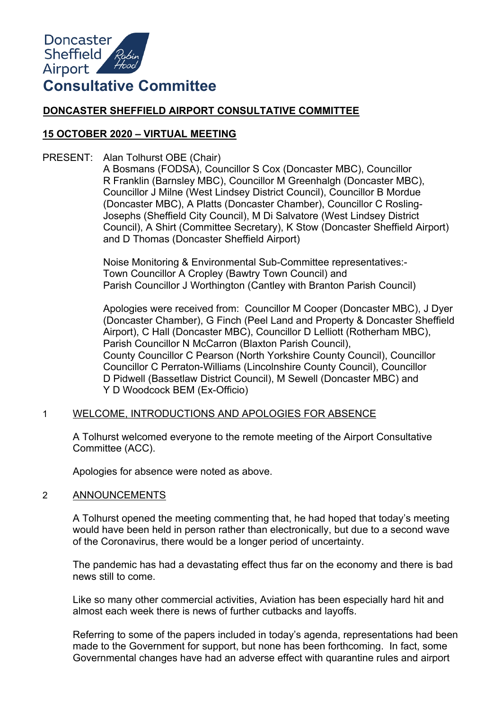

# **DONCASTER SHEFFIELD AIRPORT CONSULTATIVE COMMITTEE**

## **15 OCTOBER 2020 – VIRTUAL MEETING**

PRESENT: Alan Tolhurst OBE (Chair)

A Bosmans (FODSA), Councillor S Cox (Doncaster MBC), Councillor R Franklin (Barnsley MBC), Councillor M Greenhalgh (Doncaster MBC), Councillor J Milne (West Lindsey District Council), Councillor B Mordue (Doncaster MBC), A Platts (Doncaster Chamber), Councillor C Rosling-Josephs (Sheffield City Council), M Di Salvatore (West Lindsey District Council), A Shirt (Committee Secretary), K Stow (Doncaster Sheffield Airport) and D Thomas (Doncaster Sheffield Airport)

Noise Monitoring & Environmental Sub-Committee representatives:- Town Councillor A Cropley (Bawtry Town Council) and Parish Councillor J Worthington (Cantley with Branton Parish Council)

Apologies were received from: Councillor M Cooper (Doncaster MBC), J Dyer (Doncaster Chamber), G Finch (Peel Land and Property & Doncaster Sheffield Airport), C Hall (Doncaster MBC), Councillor D Lelliott (Rotherham MBC), Parish Councillor N McCarron (Blaxton Parish Council), County Councillor C Pearson (North Yorkshire County Council), Councillor Councillor C Perraton-Williams (Lincolnshire County Council), Councillor D Pidwell (Bassetlaw District Council), M Sewell (Doncaster MBC) and Y D Woodcock BEM (Ex-Officio)

#### 1 WELCOME, INTRODUCTIONS AND APOLOGIES FOR ABSENCE

A Tolhurst welcomed everyone to the remote meeting of the Airport Consultative Committee (ACC).

Apologies for absence were noted as above.

#### 2 ANNOUNCEMENTS

A Tolhurst opened the meeting commenting that, he had hoped that today's meeting would have been held in person rather than electronically, but due to a second wave of the Coronavirus, there would be a longer period of uncertainty.

The pandemic has had a devastating effect thus far on the economy and there is bad news still to come.

Like so many other commercial activities, Aviation has been especially hard hit and almost each week there is news of further cutbacks and layoffs.

Referring to some of the papers included in today's agenda, representations had been made to the Government for support, but none has been forthcoming. In fact, some Governmental changes have had an adverse effect with quarantine rules and airport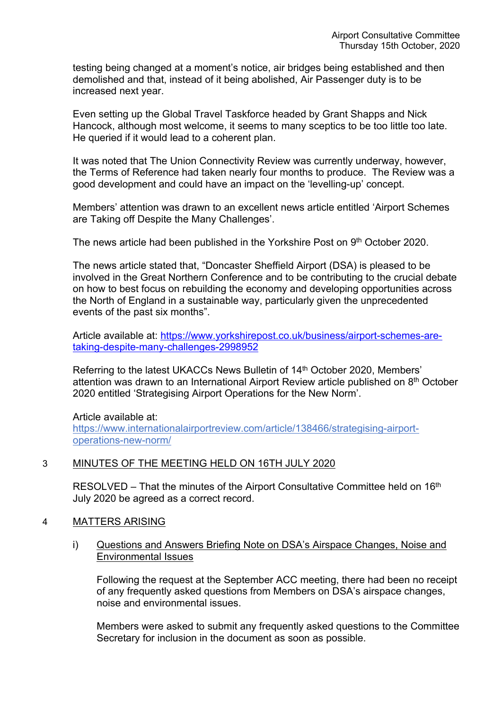testing being changed at a moment's notice, air bridges being established and then demolished and that, instead of it being abolished, Air Passenger duty is to be increased next year.

Even setting up the Global Travel Taskforce headed by Grant Shapps and Nick Hancock, although most welcome, it seems to many sceptics to be too little too late. He queried if it would lead to a coherent plan.

It was noted that The Union Connectivity Review was currently underway, however, the Terms of Reference had taken nearly four months to produce. The Review was a good development and could have an impact on the 'levelling-up' concept.

Members' attention was drawn to an excellent news article entitled 'Airport Schemes are Taking off Despite the Many Challenges'.

The news article had been published in the Yorkshire Post on 9<sup>th</sup> October 2020.

The news article stated that, "Doncaster Sheffield Airport (DSA) is pleased to be involved in the Great Northern Conference and to be contributing to the crucial debate on how to best focus on rebuilding the economy and developing opportunities across the North of England in a sustainable way, particularly given the unprecedented events of the past six months".

Article available at: [https://www.yorkshirepost.co.uk/business/airport-schemes-are](https://www.yorkshirepost.co.uk/business/airport-schemes-are-taking-despite-many-challenges-2998952)[taking-despite-many-challenges-2998952](https://www.yorkshirepost.co.uk/business/airport-schemes-are-taking-despite-many-challenges-2998952)

Referring to the latest UKACCs News Bulletin of 14<sup>th</sup> October 2020, Members' attention was drawn to an International Airport Review article published on 8<sup>th</sup> October 2020 entitled 'Strategising Airport Operations for the New Norm'.

Article available at: [https://www.internationalairportreview.com/article/138466/strategising-airport](https://www.internationalairportreview.com/article/138466/strategising-airport-operations-new-norm/)[operations-new-norm/](https://www.internationalairportreview.com/article/138466/strategising-airport-operations-new-norm/)

# 3 MINUTES OF THE MEETING HELD ON 16TH JULY 2020

RESOLVED – That the minutes of the Airport Consultative Committee held on 16<sup>th</sup> July 2020 be agreed as a correct record.

# 4 MATTERS ARISING

i) Questions and Answers Briefing Note on DSA's Airspace Changes, Noise and Environmental Issues

Following the request at the September ACC meeting, there had been no receipt of any frequently asked questions from Members on DSA's airspace changes, noise and environmental issues.

Members were asked to submit any frequently asked questions to the Committee Secretary for inclusion in the document as soon as possible.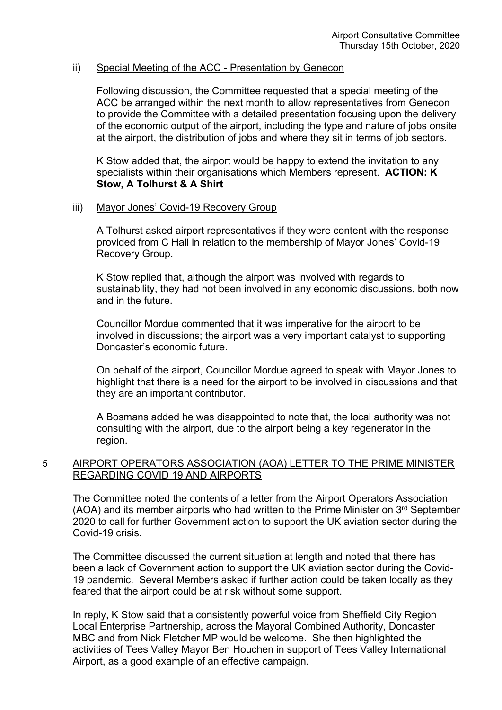#### ii) Special Meeting of the ACC - Presentation by Genecon

Following discussion, the Committee requested that a special meeting of the ACC be arranged within the next month to allow representatives from Genecon to provide the Committee with a detailed presentation focusing upon the delivery of the economic output of the airport, including the type and nature of jobs onsite at the airport, the distribution of jobs and where they sit in terms of job sectors.

K Stow added that, the airport would be happy to extend the invitation to any specialists within their organisations which Members represent. **ACTION: K Stow, A Tolhurst & A Shirt**

#### iii) Mayor Jones' Covid-19 Recovery Group

A Tolhurst asked airport representatives if they were content with the response provided from C Hall in relation to the membership of Mayor Jones' Covid-19 Recovery Group.

K Stow replied that, although the airport was involved with regards to sustainability, they had not been involved in any economic discussions, both now and in the future.

Councillor Mordue commented that it was imperative for the airport to be involved in discussions; the airport was a very important catalyst to supporting Doncaster's economic future.

On behalf of the airport, Councillor Mordue agreed to speak with Mayor Jones to highlight that there is a need for the airport to be involved in discussions and that they are an important contributor.

A Bosmans added he was disappointed to note that, the local authority was not consulting with the airport, due to the airport being a key regenerator in the region.

## 5 AIRPORT OPERATORS ASSOCIATION (AOA) LETTER TO THE PRIME MINISTER REGARDING COVID 19 AND AIRPORTS

The Committee noted the contents of a letter from the Airport Operators Association (AOA) and its member airports who had written to the Prime Minister on 3<sup>rd</sup> September 2020 to call for further Government action to support the UK aviation sector during the Covid-19 crisis.

The Committee discussed the current situation at length and noted that there has been a lack of Government action to support the UK aviation sector during the Covid-19 pandemic. Several Members asked if further action could be taken locally as they feared that the airport could be at risk without some support.

In reply, K Stow said that a consistently powerful voice from Sheffield City Region Local Enterprise Partnership, across the Mayoral Combined Authority, Doncaster MBC and from Nick Fletcher MP would be welcome. She then highlighted the activities of Tees Valley Mayor Ben Houchen in support of Tees Valley International Airport, as a good example of an effective campaign.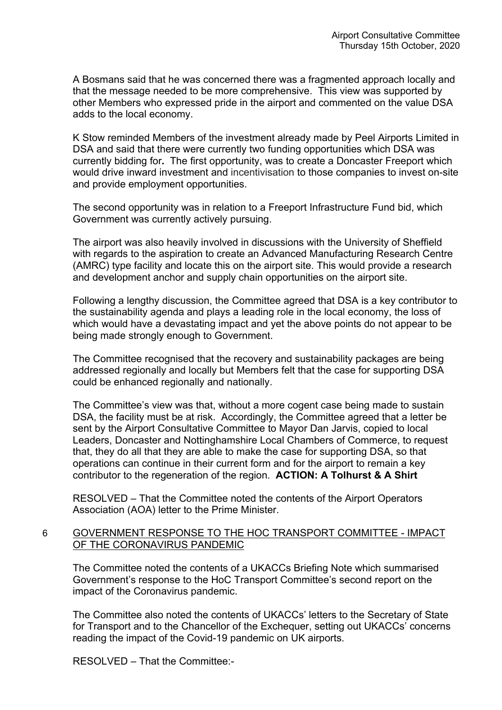A Bosmans said that he was concerned there was a fragmented approach locally and that the message needed to be more comprehensive. This view was supported by other Members who expressed pride in the airport and commented on the value DSA adds to the local economy.

K Stow reminded Members of the investment already made by Peel Airports Limited in DSA and said that there were currently two funding opportunities which DSA was currently bidding for**.** The first opportunity, was to create a Doncaster Freeport which would drive inward investment and incentivisation to those companies to invest on-site and provide employment opportunities.

The second opportunity was in relation to a Freeport Infrastructure Fund bid, which Government was currently actively pursuing.

The airport was also heavily involved in discussions with the University of Sheffield with regards to the aspiration to create an Advanced Manufacturing Research Centre (AMRC) type facility and locate this on the airport site. This would provide a research and development anchor and supply chain opportunities on the airport site.

Following a lengthy discussion, the Committee agreed that DSA is a key contributor to the sustainability agenda and plays a leading role in the local economy, the loss of which would have a devastating impact and yet the above points do not appear to be being made strongly enough to Government.

The Committee recognised that the recovery and sustainability packages are being addressed regionally and locally but Members felt that the case for supporting DSA could be enhanced regionally and nationally.

The Committee's view was that, without a more cogent case being made to sustain DSA, the facility must be at risk. Accordingly, the Committee agreed that a letter be sent by the Airport Consultative Committee to Mayor Dan Jarvis, copied to local Leaders, Doncaster and Nottinghamshire Local Chambers of Commerce, to request that, they do all that they are able to make the case for supporting DSA, so that operations can continue in their current form and for the airport to remain a key contributor to the regeneration of the region. **ACTION: A Tolhurst & A Shirt**

RESOLVED – That the Committee noted the contents of the Airport Operators Association (AOA) letter to the Prime Minister.

## 6 GOVERNMENT RESPONSE TO THE HOC TRANSPORT COMMITTEE - IMPACT OF THE CORONAVIRUS PANDEMIC

The Committee noted the contents of a UKACCs Briefing Note which summarised Government's response to the HoC Transport Committee's second report on the impact of the Coronavirus pandemic.

The Committee also noted the contents of UKACCs' letters to the Secretary of State for Transport and to the Chancellor of the Exchequer, setting out UKACCs' concerns reading the impact of the Covid-19 pandemic on UK airports.

RESOLVED – That the Committee:-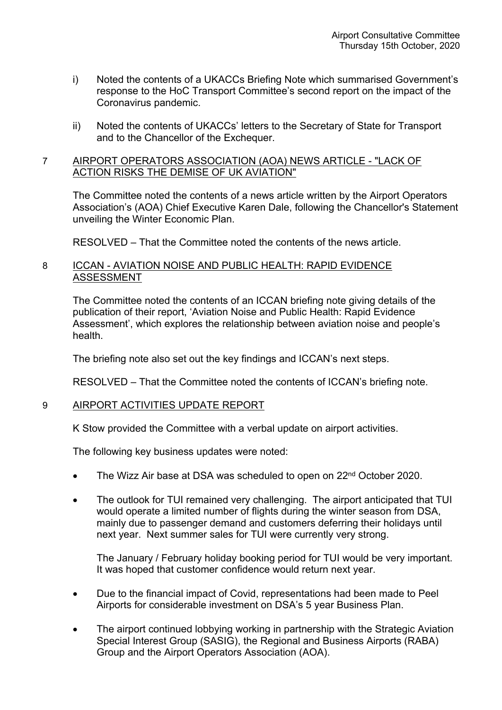- i) Noted the contents of a UKACCs Briefing Note which summarised Government's response to the HoC Transport Committee's second report on the impact of the Coronavirus pandemic.
- ii) Noted the contents of UKACCs' letters to the Secretary of State for Transport and to the Chancellor of the Exchequer.

## 7 AIRPORT OPERATORS ASSOCIATION (AOA) NEWS ARTICLE - "LACK OF ACTION RISKS THE DEMISE OF UK AVIATION"

The Committee noted the contents of a news article written by the Airport Operators Association's (AOA) Chief Executive Karen Dale, following the Chancellor's Statement unveiling the Winter Economic Plan.

RESOLVED – That the Committee noted the contents of the news article.

## 8 ICCAN - AVIATION NOISE AND PUBLIC HEALTH: RAPID EVIDENCE ASSESSMENT

The Committee noted the contents of an ICCAN briefing note giving details of the publication of their report, 'Aviation Noise and Public Health: Rapid Evidence Assessment', which explores the relationship between aviation noise and people's health.

The briefing note also set out the key findings and ICCAN's next steps.

RESOLVED – That the Committee noted the contents of ICCAN's briefing note.

# 9 AIRPORT ACTIVITIES UPDATE REPORT

K Stow provided the Committee with a verbal update on airport activities.

The following key business updates were noted:

- The Wizz Air base at DSA was scheduled to open on 22<sup>nd</sup> October 2020.
- The outlook for TUI remained very challenging. The airport anticipated that TUI would operate a limited number of flights during the winter season from DSA, mainly due to passenger demand and customers deferring their holidays until next year. Next summer sales for TUI were currently very strong.

The January / February holiday booking period for TUI would be very important. It was hoped that customer confidence would return next year.

- Due to the financial impact of Covid, representations had been made to Peel Airports for considerable investment on DSA's 5 year Business Plan.
- The airport continued lobbying working in partnership with the Strategic Aviation Special Interest Group (SASIG), the Regional and Business Airports (RABA) Group and the Airport Operators Association (AOA).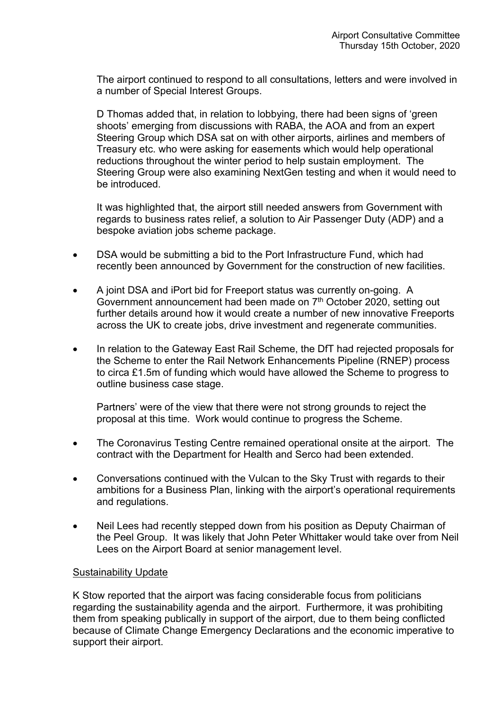The airport continued to respond to all consultations, letters and were involved in a number of Special Interest Groups.

D Thomas added that, in relation to lobbying, there had been signs of 'green shoots' emerging from discussions with RABA, the AOA and from an expert Steering Group which DSA sat on with other airports, airlines and members of Treasury etc. who were asking for easements which would help operational reductions throughout the winter period to help sustain employment. The Steering Group were also examining NextGen testing and when it would need to be introduced.

It was highlighted that, the airport still needed answers from Government with regards to business rates relief, a solution to Air Passenger Duty (ADP) and a bespoke aviation jobs scheme package.

- DSA would be submitting a bid to the Port Infrastructure Fund, which had recently been announced by Government for the construction of new facilities.
- A joint DSA and iPort bid for Freeport status was currently on-going. A Government announcement had been made on 7<sup>th</sup> October 2020, setting out further details around how it would create a number of new innovative Freeports across the UK to create jobs, drive investment and regenerate communities.
- In relation to the Gateway East Rail Scheme, the DfT had rejected proposals for the Scheme to enter the Rail Network Enhancements Pipeline (RNEP) process to circa £1.5m of funding which would have allowed the Scheme to progress to outline business case stage.

Partners' were of the view that there were not strong grounds to reject the proposal at this time. Work would continue to progress the Scheme.

- The Coronavirus Testing Centre remained operational onsite at the airport. The contract with the Department for Health and Serco had been extended.
- Conversations continued with the Vulcan to the Sky Trust with regards to their ambitions for a Business Plan, linking with the airport's operational requirements and regulations.
- Neil Lees had recently stepped down from his position as Deputy Chairman of the Peel Group. It was likely that John Peter Whittaker would take over from Neil Lees on the Airport Board at senior management level.

# Sustainability Update

K Stow reported that the airport was facing considerable focus from politicians regarding the sustainability agenda and the airport. Furthermore, it was prohibiting them from speaking publically in support of the airport, due to them being conflicted because of Climate Change Emergency Declarations and the economic imperative to support their airport.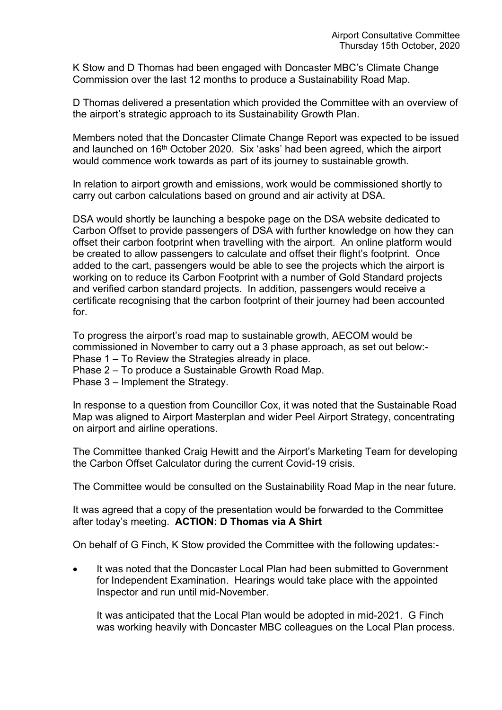K Stow and D Thomas had been engaged with Doncaster MBC's Climate Change Commission over the last 12 months to produce a Sustainability Road Map.

D Thomas delivered a presentation which provided the Committee with an overview of the airport's strategic approach to its Sustainability Growth Plan.

Members noted that the Doncaster Climate Change Report was expected to be issued and launched on 16th October 2020. Six 'asks' had been agreed, which the airport would commence work towards as part of its journey to sustainable growth.

In relation to airport growth and emissions, work would be commissioned shortly to carry out carbon calculations based on ground and air activity at DSA.

DSA would shortly be launching a bespoke page on the DSA website dedicated to Carbon Offset to provide passengers of DSA with further knowledge on how they can offset their carbon footprint when travelling with the airport. An online platform would be created to allow passengers to calculate and offset their flight's footprint. Once added to the cart, passengers would be able to see the projects which the airport is working on to reduce its Carbon Footprint with a number of Gold Standard projects and verified carbon standard projects. In addition, passengers would receive a certificate recognising that the carbon footprint of their journey had been accounted for.

To progress the airport's road map to sustainable growth, AECOM would be commissioned in November to carry out a 3 phase approach, as set out below:- Phase 1 – To Review the Strategies already in place.

- Phase 2 To produce a Sustainable Growth Road Map.
- Phase 3 Implement the Strategy.

In response to a question from Councillor Cox, it was noted that the Sustainable Road Map was aligned to Airport Masterplan and wider Peel Airport Strategy, concentrating on airport and airline operations.

The Committee thanked Craig Hewitt and the Airport's Marketing Team for developing the Carbon Offset Calculator during the current Covid-19 crisis.

The Committee would be consulted on the Sustainability Road Map in the near future.

It was agreed that a copy of the presentation would be forwarded to the Committee after today's meeting. **ACTION: D Thomas via A Shirt**

On behalf of G Finch, K Stow provided the Committee with the following updates:-

• It was noted that the Doncaster Local Plan had been submitted to Government for Independent Examination. Hearings would take place with the appointed Inspector and run until mid-November.

It was anticipated that the Local Plan would be adopted in mid-2021. G Finch was working heavily with Doncaster MBC colleagues on the Local Plan process.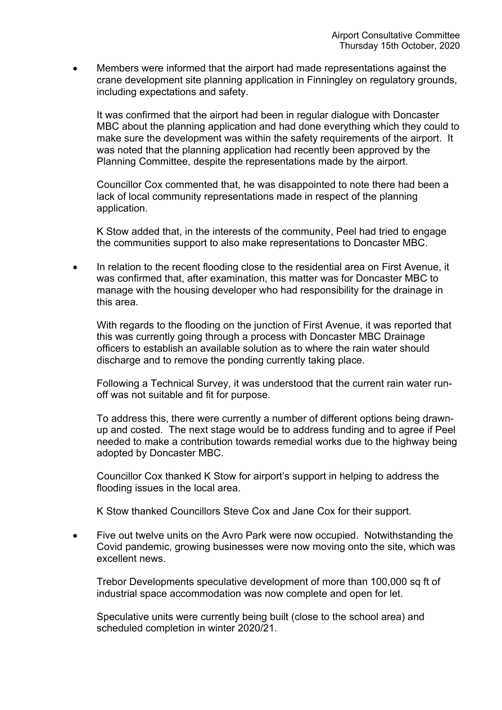Members were informed that the airport had made representations against the crane development site planning application in Finningley on regulatory grounds, including expectations and safety.

It was confirmed that the airport had been in regular dialogue with Doncaster MBC about the planning application and had done everything which they could to make sure the development was within the safety requirements of the airport. It was noted that the planning application had recently been approved by the Planning Committee, despite the representations made by the airport.

Councillor Cox commented that, he was disappointed to note there had been a lack of local community representations made in respect of the planning application.

K Stow added that, in the interests of the community, Peel had tried to engage the communities support to also make representations to Doncaster MBC.

 In relation to the recent flooding close to the residential area on First Avenue, it was confirmed that, after examination, this matter was for Doncaster MBC to manage with the housing developer who had responsibility for the drainage in this area.

With regards to the flooding on the junction of First Avenue, it was reported that this was currently going through a process with Doncaster MBC Drainage officers to establish an available solution as to where the rain water should discharge and to remove the ponding currently taking place.

Following a Technical Survey, it was understood that the current rain water runoff was not suitable and fit for purpose.

To address this, there were currently a number of different options being drawnup and costed. The next stage would be to address funding and to agree if Peel needed to make a contribution towards remedial works due to the highway being adopted by Doncaster MBC.

Councillor Cox thanked K Stow for airport's support in helping to address the flooding issues in the local area.

K Stow thanked Councillors Steve Cox and Jane Cox for their support.

• Five out twelve units on the Avro Park were now occupied. Notwithstanding the Covid pandemic, growing businesses were now moving onto the site, which was excellent news.

Trebor Developments speculative development of more than 100,000 sq ft of industrial space accommodation was now complete and open for let.

Speculative units were currently being built (close to the school area) and scheduled completion in winter 2020/21.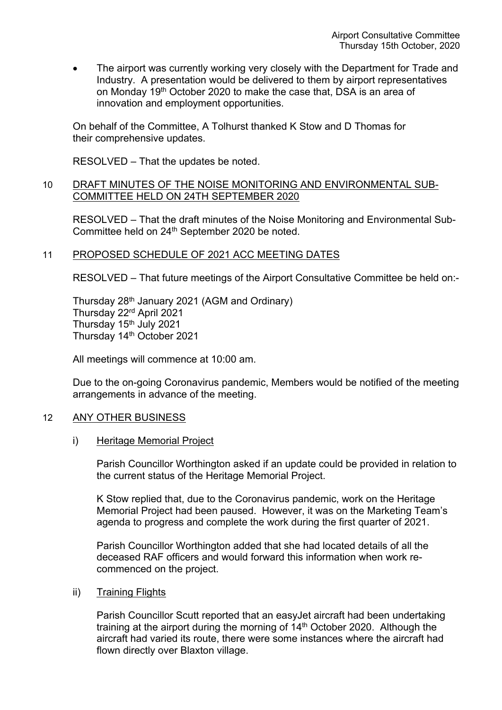The airport was currently working very closely with the Department for Trade and Industry. A presentation would be delivered to them by airport representatives on Monday 19th October 2020 to make the case that, DSA is an area of innovation and employment opportunities.

On behalf of the Committee, A Tolhurst thanked K Stow and D Thomas for their comprehensive updates.

RESOLVED – That the updates be noted.

## 10 DRAFT MINUTES OF THE NOISE MONITORING AND ENVIRONMENTAL SUB-COMMITTEE HELD ON 24TH SEPTEMBER 2020

RESOLVED – That the draft minutes of the Noise Monitoring and Environmental Sub-Committee held on 24th September 2020 be noted.

# 11 PROPOSED SCHEDULE OF 2021 ACC MEETING DATES

RESOLVED – That future meetings of the Airport Consultative Committee be held on:-

Thursday 28th January 2021 (AGM and Ordinary) Thursday 22rd April 2021 Thursday 15<sup>th</sup> July 2021 Thursday 14th October 2021

All meetings will commence at 10:00 am.

Due to the on-going Coronavirus pandemic, Members would be notified of the meeting arrangements in advance of the meeting.

# 12 ANY OTHER BUSINESS

#### i) Heritage Memorial Project

Parish Councillor Worthington asked if an update could be provided in relation to the current status of the Heritage Memorial Project.

K Stow replied that, due to the Coronavirus pandemic, work on the Heritage Memorial Project had been paused. However, it was on the Marketing Team's agenda to progress and complete the work during the first quarter of 2021.

Parish Councillor Worthington added that she had located details of all the deceased RAF officers and would forward this information when work recommenced on the project.

#### ii) Training Flights

Parish Councillor Scutt reported that an easyJet aircraft had been undertaking training at the airport during the morning of 14<sup>th</sup> October 2020. Although the aircraft had varied its route, there were some instances where the aircraft had flown directly over Blaxton village.